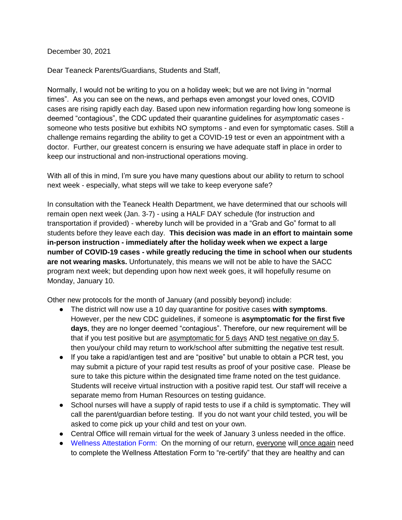December 30, 2021

Dear Teaneck Parents/Guardians, Students and Staff,

Normally, I would not be writing to you on a holiday week; but we are not living in "normal times". As you can see on the news, and perhaps even amongst your loved ones, COVID cases are rising rapidly each day. Based upon new information regarding how long someone is deemed "contagious", the CDC updated their quarantine guidelines for *asymptomatic* cases someone who tests positive but exhibits NO symptoms - and even for symptomatic cases. Still a challenge remains regarding the ability to get a COVID-19 test or even an appointment with a doctor. Further, our greatest concern is ensuring we have adequate staff in place in order to keep our instructional and non-instructional operations moving.

With all of this in mind, I'm sure you have many questions about our ability to return to school next week - especially, what steps will we take to keep everyone safe?

In consultation with the Teaneck Health Department, we have determined that our schools will remain open next week (Jan. 3-7) - using a HALF DAY schedule (for instruction and transportation if provided) - whereby lunch will be provided in a "Grab and Go" format to all students before they leave each day. **This decision was made in an effort to maintain some in-person instruction - immediately after the holiday week when we expect a large number of COVID-19 cases - while greatly reducing the time in school when our students are not wearing masks.** Unfortunately, this means we will not be able to have the SACC program next week; but depending upon how next week goes, it will hopefully resume on Monday, January 10.

Other new protocols for the month of January (and possibly beyond) include:

- The district will now use a 10 day quarantine for positive cases **with symptoms**. However, per the new CDC guidelines, if someone is **asymptomatic for the first five days**, they are no longer deemed "contagious". Therefore, our new requirement will be that if you test positive but are asymptomatic for 5 days AND test negative on day 5, then you/your child may return to work/school after submitting the negative test result.
- If you take a rapid/antigen test and are "positive" but unable to obtain a PCR test, you may submit a picture of your rapid test results as proof of your positive case. Please be sure to take this picture within the designated time frame noted on the test guidance. Students will receive virtual instruction with a positive rapid test. Our staff will receive a separate memo from Human Resources on testing guidance.
- School nurses will have a supply of rapid tests to use if a child is symptomatic. They will call the parent/guardian before testing. If you do not want your child tested, you will be asked to come pick up your child and test on your own.
- Central Office will remain virtual for the week of January 3 unless needed in the office.
- Wellness Attestation Form: On the morning of our return, everyone will once again need to complete the Wellness Attestation Form to "re-certify" that they are healthy and can